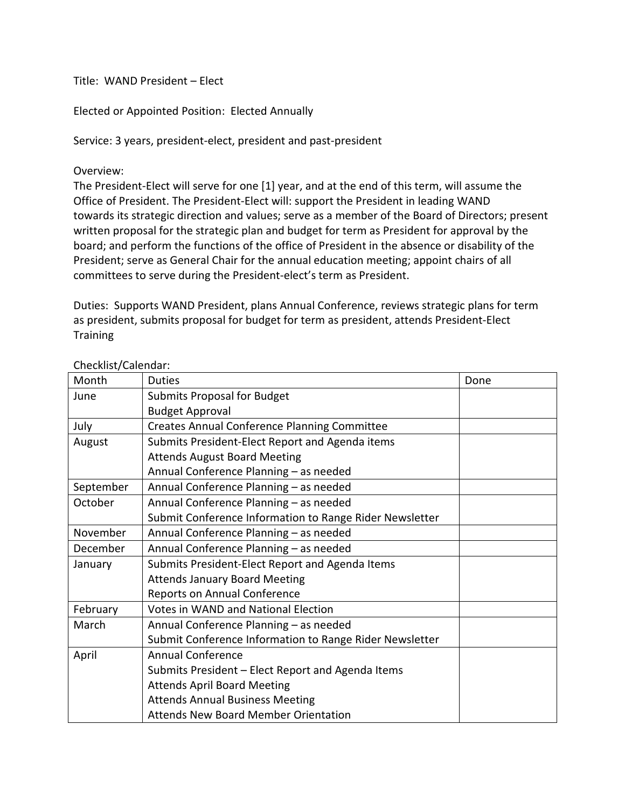Title: WAND President – Elect

Elected or Appointed Position: Elected Annually

Service: 3 years, president-elect, president and past-president

Overview:

The President-Elect will serve for one [1] year, and at the end of this term, will assume the Office of President. The President-Elect will: support the President in leading WAND towards its strategic direction and values; serve as a member of the Board of Directors; present written proposal for the strategic plan and budget for term as President for approval by the board; and perform the functions of the office of President in the absence or disability of the President; serve as General Chair for the annual education meeting; appoint chairs of all committees to serve during the President-elect's term as President.

Duties: Supports WAND President, plans Annual Conference, reviews strategic plans for term as president, submits proposal for budget for term as president, attends President-Elect **Training** 

| Month     | <b>Duties</b>                                           | Done |
|-----------|---------------------------------------------------------|------|
| June      | <b>Submits Proposal for Budget</b>                      |      |
|           | <b>Budget Approval</b>                                  |      |
| July      | <b>Creates Annual Conference Planning Committee</b>     |      |
| August    | Submits President-Elect Report and Agenda items         |      |
|           | <b>Attends August Board Meeting</b>                     |      |
|           | Annual Conference Planning - as needed                  |      |
| September | Annual Conference Planning - as needed                  |      |
| October   | Annual Conference Planning - as needed                  |      |
|           | Submit Conference Information to Range Rider Newsletter |      |
| November  | Annual Conference Planning - as needed                  |      |
| December  | Annual Conference Planning - as needed                  |      |
| January   | Submits President-Elect Report and Agenda Items         |      |
|           | <b>Attends January Board Meeting</b>                    |      |
|           | Reports on Annual Conference                            |      |
| February  | <b>Votes in WAND and National Election</b>              |      |
| March     | Annual Conference Planning - as needed                  |      |
|           | Submit Conference Information to Range Rider Newsletter |      |
| April     | <b>Annual Conference</b>                                |      |
|           | Submits President - Elect Report and Agenda Items       |      |
|           | <b>Attends April Board Meeting</b>                      |      |
|           | <b>Attends Annual Business Meeting</b>                  |      |
|           | <b>Attends New Board Member Orientation</b>             |      |

## Checklist/Calendar: